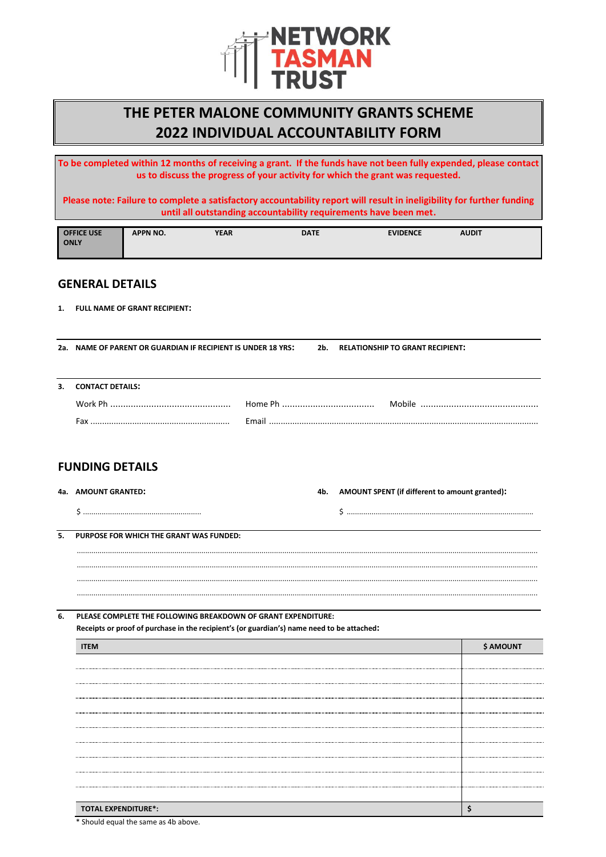

# **THE PETER MALONE COMMUNITY GRANTS SCHEME 2022 INDIVIDUAL ACCOUNTABILITY FORM**

**To be completed within 12 months of receiving a grant. If the funds have not been fully expended, please contact us to discuss the progress of your activity for which the grant was requested.**

**Please note: Failure to complete a satisfactory accountability report will result in ineligibility for further funding until all outstanding accountability requirements have been met.**

| <b>OFFICE USE</b> | <b>APPN NO.</b> | YEAR | <b>DATE</b> | <b>EVIDENCE</b> | <b>AUDIT</b> |  |
|-------------------|-----------------|------|-------------|-----------------|--------------|--|
| <b>ONLY</b>       |                 |      |             |                 |              |  |
|                   |                 |      |             |                 |              |  |

## **GENERAL DETAILS**

**1. FULL NAME OF GRANT RECIPIENT:**

**2a. NAME OF PARENT OR GUARDIAN IF RECIPIENT IS UNDER 18 YRS: 2b. RELATIONSHIP TO GRANT RECIPIENT:**

**3. CONTACT DETAILS:**

| Fax | Email |  |
|-----|-------|--|

## **FUNDING DETAILS**

| 4a. AMOUNT GRANTED: | 4b. | AMOUNT SPENT (if different to amount granted): |
|---------------------|-----|------------------------------------------------|
|                     |     |                                                |

.............................................................................................................................................................................................................................. .............................................................................................................................................................................................................................. ..............................................................................................................................................................................................................................

**5. PURPOSE FOR WHICH THE GRANT WAS FUNDED:**

..............................................................................................................................................................................................................................

### **6. PLEASE COMPLETE THE FOLLOWING BREAKDOWN OF GRANT EXPENDITURE:**

**Receipts or proof of purchase in the recipient's (or guardian's) name need to be attached:**

|                            | <b>\$ AMOUNT</b> |
|----------------------------|------------------|
|                            |                  |
|                            |                  |
|                            |                  |
|                            |                  |
|                            |                  |
|                            |                  |
|                            |                  |
|                            |                  |
|                            |                  |
|                            |                  |
| <b>TOTAL EXPENDITURE*:</b> |                  |

\* Should equal the same as 4b above.